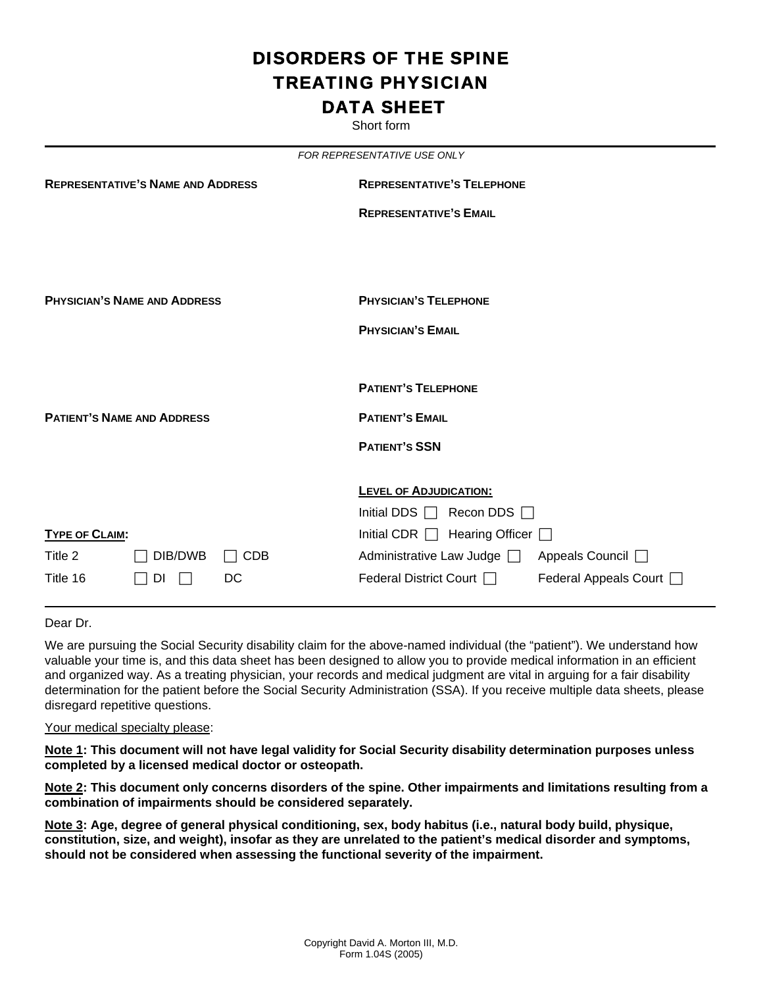## DISORDERS OF THE SPINE TREATING PHYSICIAN DATA SHEET

Short form

|                                          |                                     |                                   | FOR REPRESENTATIVE USE ONLY                                             |                         |  |  |
|------------------------------------------|-------------------------------------|-----------------------------------|-------------------------------------------------------------------------|-------------------------|--|--|
| <b>REPRESENTATIVE'S NAME AND ADDRESS</b> |                                     | <b>REPRESENTATIVE'S TELEPHONE</b> |                                                                         |                         |  |  |
|                                          |                                     |                                   | <b>REPRESENTATIVE'S EMAIL</b>                                           |                         |  |  |
|                                          | <b>PHYSICIAN'S NAME AND ADDRESS</b> |                                   | <b>PHYSICIAN'S TELEPHONE</b>                                            |                         |  |  |
|                                          |                                     |                                   | <b>PHYSICIAN'S EMAIL</b>                                                |                         |  |  |
|                                          |                                     |                                   | <b>PATIENT'S TELEPHONE</b>                                              |                         |  |  |
| <b>PATIENT'S NAME AND ADDRESS</b>        |                                     |                                   | <b>PATIENT'S EMAIL</b>                                                  |                         |  |  |
|                                          |                                     |                                   | <b>PATIENT'S SSN</b>                                                    |                         |  |  |
|                                          |                                     |                                   | <b>LEVEL OF ADJUDICATION:</b><br>Initial DDS $\Box$<br>Recon DDS $\Box$ |                         |  |  |
| <b>TYPE OF CLAIM:</b>                    |                                     |                                   | Initial CDR $\Box$ Hearing Officer $\Box$                               |                         |  |  |
| Title 2                                  | DIB/DWB                             | <b>CDB</b>                        | Administrative Law Judge and                                            | Appeals Council □       |  |  |
| Title 16                                 | DI                                  | DC                                | Federal District Court                                                  | Federal Appeals Court [ |  |  |

Dear Dr.

We are pursuing the Social Security disability claim for the above-named individual (the "patient"). We understand how valuable your time is, and this data sheet has been designed to allow you to provide medical information in an efficient and organized way. As a treating physician, your records and medical judgment are vital in arguing for a fair disability determination for the patient before the Social Security Administration (SSA). If you receive multiple data sheets, please disregard repetitive questions.

## Your medical specialty please:

**Note 1: This document will not have legal validity for Social Security disability determination purposes unless completed by a licensed medical doctor or osteopath.** 

**Note 2: This document only concerns disorders of the spine. Other impairments and limitations resulting from a combination of impairments should be considered separately.** 

**Note 3: Age, degree of general physical conditioning, sex, body habitus (i.e., natural body build, physique, constitution, size, and weight), insofar as they are unrelated to the patient's medical disorder and symptoms, should not be considered when assessing the functional severity of the impairment.**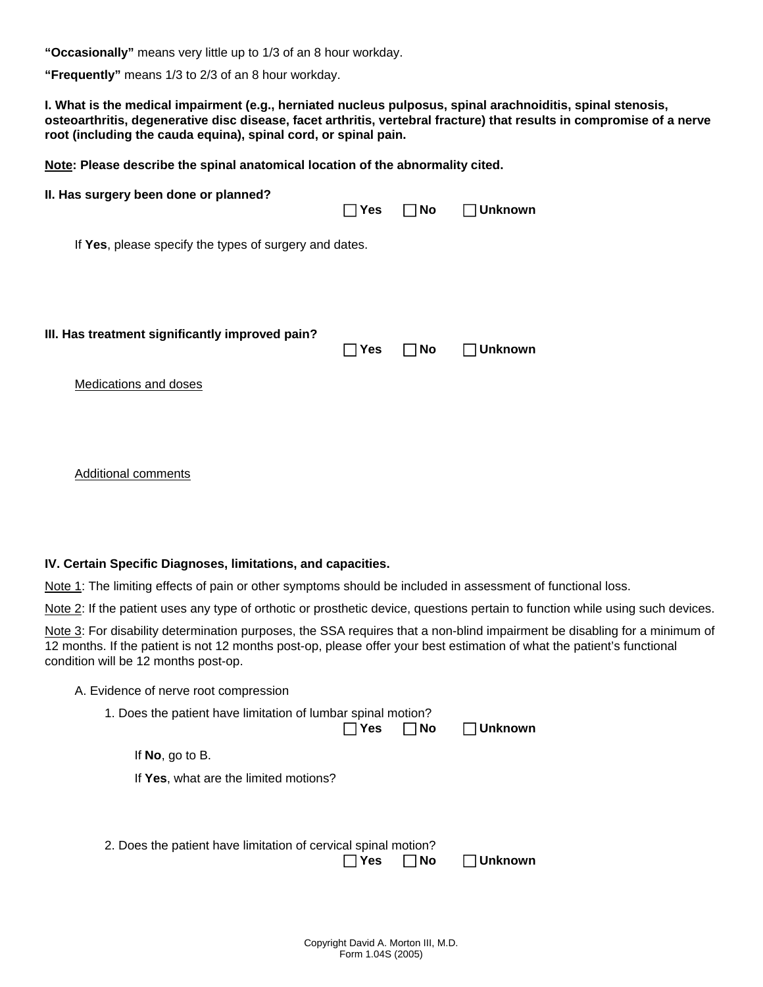**"Occasionally"** means very little up to 1/3 of an 8 hour workday.

**"Frequently"** means 1/3 to 2/3 of an 8 hour workday.

**I. What is the medical impairment (e.g., herniated nucleus pulposus, spinal arachnoiditis, spinal stenosis, osteoarthritis, degenerative disc disease, facet arthritis, vertebral fracture) that results in compromise of a nerve root (including the cauda equina), spinal cord, or spinal pain.** 

**Note: Please describe the spinal anatomical location of the abnormality cited.** 

| II. Has surgery been done or planned?                  | $\sqcap$ Yes | $\Box$ No    | <b>Unknown</b> |
|--------------------------------------------------------|--------------|--------------|----------------|
| If Yes, please specify the types of surgery and dates. |              |              |                |
| III. Has treatment significantly improved pain?        | ∏ Yes        | $\square$ No | <b>Unknown</b> |
| Medications and doses                                  |              |              |                |

Additional comments

## **IV. Certain Specific Diagnoses, limitations, and capacities.**

Note 1: The limiting effects of pain or other symptoms should be included in assessment of functional loss.

Note 2: If the patient uses any type of orthotic or prosthetic device, questions pertain to function while using such devices.

Note 3: For disability determination purposes, the SSA requires that a non-blind impairment be disabling for a minimum of 12 months. If the patient is not 12 months post-op, please offer your best estimation of what the patient's functional condition will be 12 months post-op.

| A. Evidence of nerve root compression |  |
|---------------------------------------|--|
|---------------------------------------|--|

1. Does the patient have limitation of lumbar spinal motion? F **Yes** F **No** F **Unknown** 

If **No**, go to B.

If **Yes**, what are the limited motions?

| 2. Does the patient have limitation of cervical spinal motion? |       |           |                |
|----------------------------------------------------------------|-------|-----------|----------------|
|                                                                | ∏ Yes | $\Box$ No | $\Box$ Unknown |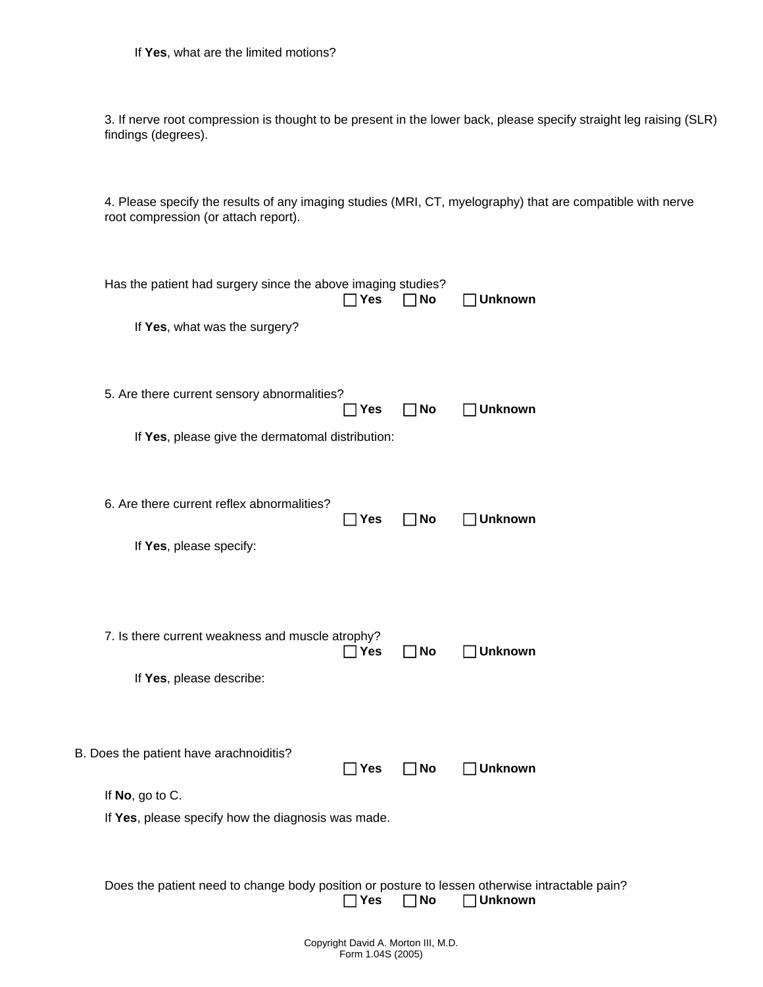3. If nerve root compression is thought to be present in the lower back, please specify straight leg raising (SLR) findings (degrees).

4. Please specify the results of any imaging studies (MRI, CT, myelography) that are compatible with nerve root compression (or attach report).

| Has the patient had surgery since the above imaging studies?<br>If Yes, what was the surgery?                    | ן Yes        | No        | <b>Unknown</b> |
|------------------------------------------------------------------------------------------------------------------|--------------|-----------|----------------|
| 5. Are there current sensory abnormalities?<br>If Yes, please give the dermatomal distribution:                  | ∃ Yes        | ∃No       | <b>Unknown</b> |
| 6. Are there current reflex abnormalities?<br>If Yes, please specify:                                            | Yes          | No        | <b>Unknown</b> |
| 7. Is there current weakness and muscle atrophy?<br>If Yes, please describe:                                     | ∣Yes         | No        | <b>Unknown</b> |
| B. Does the patient have arachnoiditis?<br>If No, go to C.<br>If Yes, please specify how the diagnosis was made. | $\Box$ Yes   | No        | <b>Unknown</b> |
| Does the patient need to change body position or posture to lessen otherwise intractable pain?                   | $\sqcap$ Yes | $\Box$ No | <b>Unknown</b> |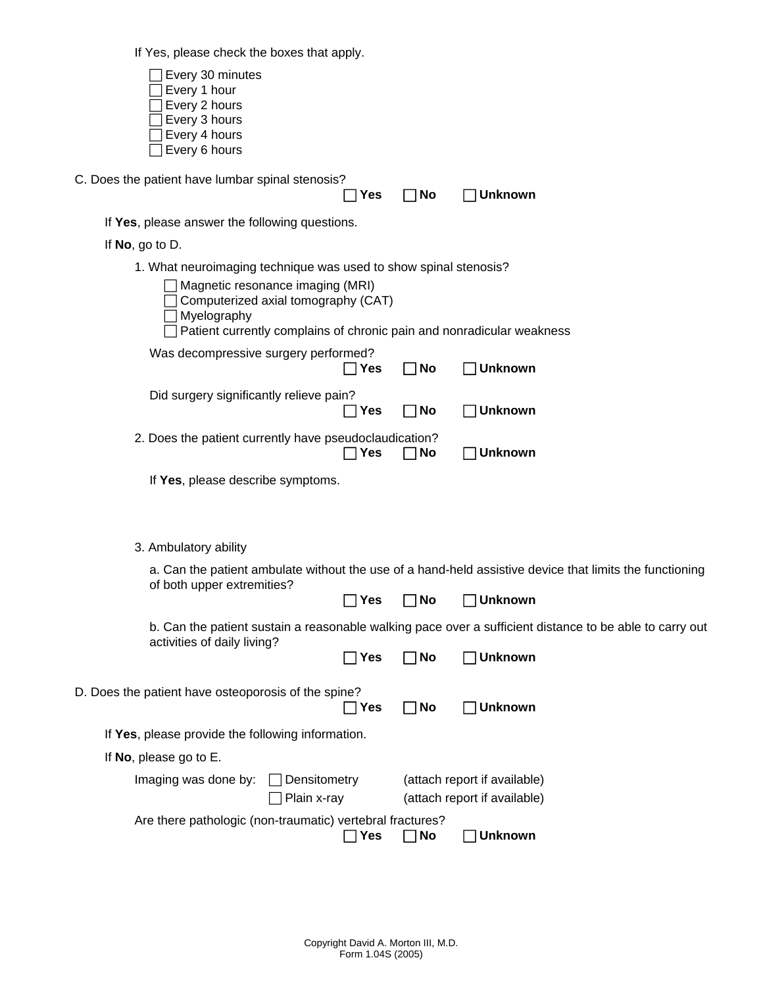If Yes, please check the boxes that apply.

| $\cdots$ . $\sim$ , produce or look the bestee that apply.                             |                                                                                                         |           |                                                                                                         |  |  |
|----------------------------------------------------------------------------------------|---------------------------------------------------------------------------------------------------------|-----------|---------------------------------------------------------------------------------------------------------|--|--|
| Every 30 minutes<br>Every 1 hour<br>Every 2 hours<br>Every 3 hours                     |                                                                                                         |           |                                                                                                         |  |  |
| Every 4 hours<br>Every 6 hours                                                         |                                                                                                         |           |                                                                                                         |  |  |
| C. Does the patient have lumbar spinal stenosis?                                       | <b>Yes</b>                                                                                              | No        | ]Unknown                                                                                                |  |  |
| If Yes, please answer the following questions.                                         |                                                                                                         |           |                                                                                                         |  |  |
| If $No$ , go to D.                                                                     |                                                                                                         |           |                                                                                                         |  |  |
| 1. What neuroimaging technique was used to show spinal stenosis?                       |                                                                                                         |           |                                                                                                         |  |  |
| Magnetic resonance imaging (MRI)<br>Computerized axial tomography (CAT)<br>Myelography |                                                                                                         |           |                                                                                                         |  |  |
| Patient currently complains of chronic pain and nonradicular weakness                  |                                                                                                         |           |                                                                                                         |  |  |
| Was decompressive surgery performed?                                                   | ⅂Yes                                                                                                    | No        | <b>Unknown</b>                                                                                          |  |  |
| Did surgery significantly relieve pain?                                                | $\Box$ Yes                                                                                              | <b>No</b> | $\Box$ Unknown                                                                                          |  |  |
| 2. Does the patient currently have pseudoclaudication?                                 | Yes                                                                                                     | No        | Unknown                                                                                                 |  |  |
| If Yes, please describe symptoms.                                                      |                                                                                                         |           |                                                                                                         |  |  |
| 3. Ambulatory ability                                                                  |                                                                                                         |           |                                                                                                         |  |  |
|                                                                                        |                                                                                                         |           | a. Can the patient ambulate without the use of a hand-held assistive device that limits the functioning |  |  |
| of both upper extremities?                                                             | Yes                                                                                                     | <b>No</b> | <b>Unknown</b>                                                                                          |  |  |
|                                                                                        | b. Can the patient sustain a reasonable walking pace over a sufficient distance to be able to carry out |           |                                                                                                         |  |  |
| activities of daily living?                                                            | – Yes                                                                                                   | <b>No</b> | JUnknown                                                                                                |  |  |
| D. Does the patient have osteoporosis of the spine?                                    | ]Yes                                                                                                    | <b>No</b> | $\Box$ Unknown                                                                                          |  |  |
| If Yes, please provide the following information.                                      |                                                                                                         |           |                                                                                                         |  |  |
| If No, please go to E.                                                                 |                                                                                                         |           |                                                                                                         |  |  |
| Densitometry<br>Imaging was done by:                                                   |                                                                                                         |           | (attach report if available)                                                                            |  |  |
| Plain x-ray                                                                            |                                                                                                         |           | (attach report if available)                                                                            |  |  |
| Are there pathologic (non-traumatic) vertebral fractures?                              |                                                                                                         |           |                                                                                                         |  |  |
|                                                                                        | ן Yes                                                                                                   | No        | <b>Unknown</b>                                                                                          |  |  |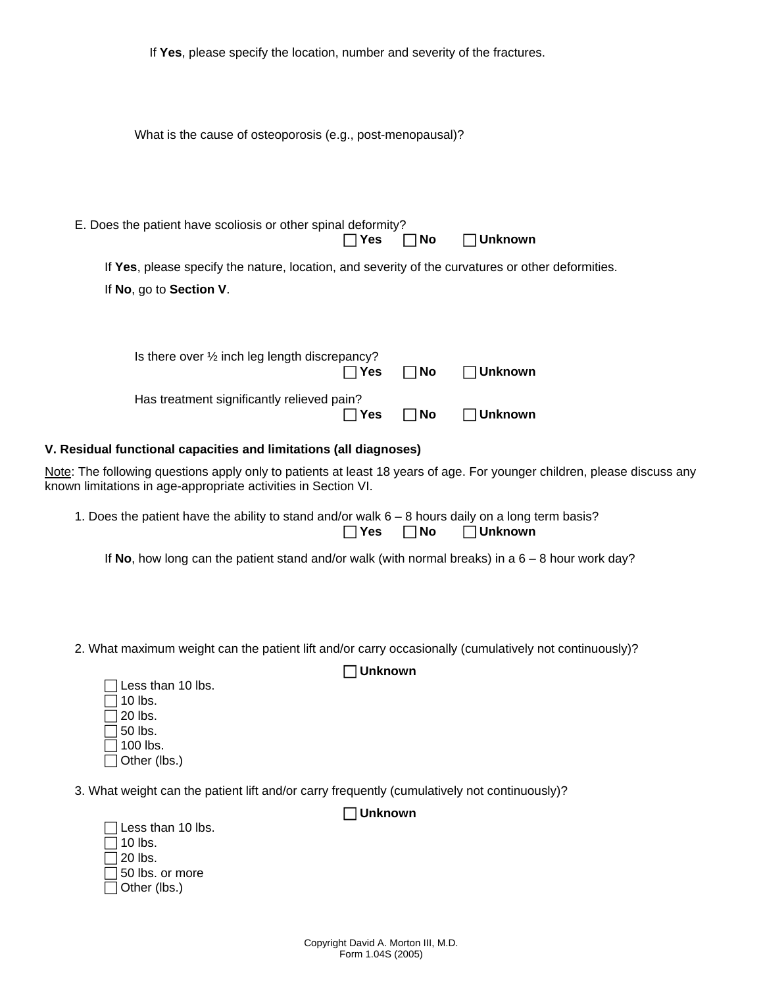| If Yes, please specify the location, number and severity of the fractures.                                                                                                                |                |                     |                   |
|-------------------------------------------------------------------------------------------------------------------------------------------------------------------------------------------|----------------|---------------------|-------------------|
| What is the cause of osteoporosis (e.g., post-menopausal)?                                                                                                                                |                |                     |                   |
| E. Does the patient have scoliosis or other spinal deformity?                                                                                                                             | $\sqcap$ Yes   | No<br>- 1           | $\exists$ Unknown |
| If Yes, please specify the nature, location, and severity of the curvatures or other deformities.<br>If No, go to Section V.                                                              |                |                     |                   |
| Is there over 1/2 inch leg length discrepancy?                                                                                                                                            | ן Yes          | No<br>$\mathsf{L}$  | <b>Unknown</b>    |
| Has treatment significantly relieved pain?                                                                                                                                                | $\Box$ Yes     | <b>No</b><br>$\Box$ | <b>Unknown</b>    |
| V. Residual functional capacities and limitations (all diagnoses)                                                                                                                         |                |                     |                   |
| Note: The following questions apply only to patients at least 18 years of age. For younger children, please discuss any<br>known limitations in age-appropriate activities in Section VI. |                |                     |                   |
| 1. Does the patient have the ability to stand and/or walk $6 - 8$ hours daily on a long term basis?                                                                                       | $\Box$ Yes     | $\Box$ No           | $\Box$ Unknown    |
| If No, how long can the patient stand and/or walk (with normal breaks) in a $6-8$ hour work day?                                                                                          |                |                     |                   |
|                                                                                                                                                                                           |                |                     |                   |
| 2. What maximum weight can the patient lift and/or carry occasionally (cumulatively not continuously)?<br>Less than 10 lbs.                                                               | <b>Unknown</b> |                     |                   |
| 10 lbs.<br>20 lbs.                                                                                                                                                                        |                |                     |                   |

3. What weight can the patient lift and/or carry frequently (cumulatively not continuously)?

| 1 Less than 10 lbs. |
|---------------------|
| 110 lbs.            |
| ∃20 lbs.            |
| 150 lbs. or more    |
| ่ Other (lbs.)      |

 $\Box$  50 lbs.  $\overline{\Box}$  100 lbs.  $\Box$  Other (lbs.)